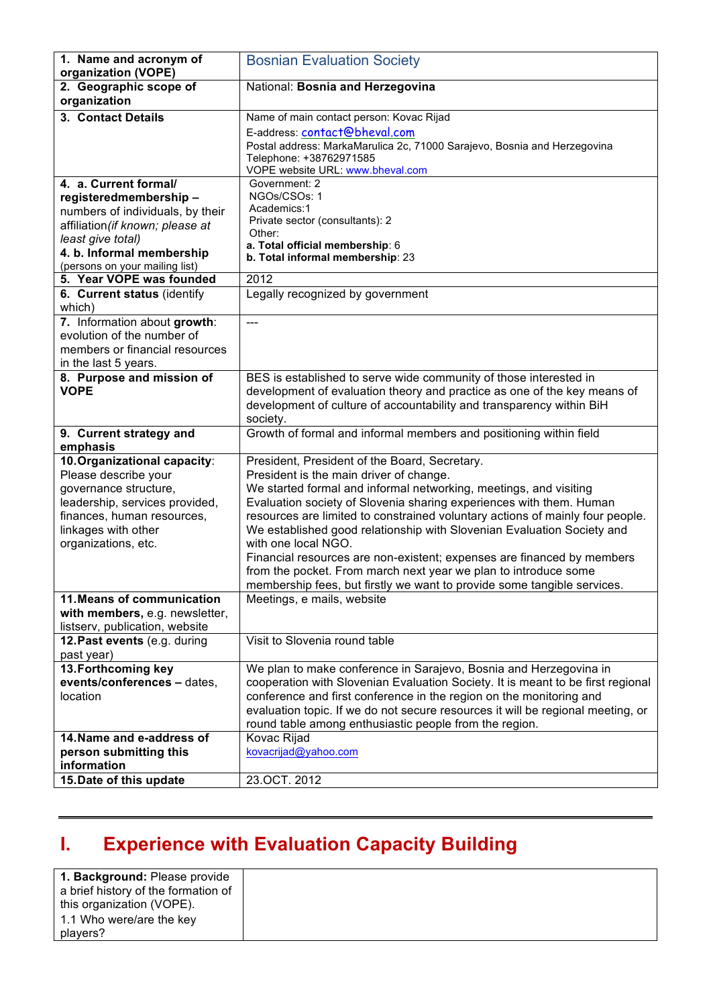| 1. Name and acronym of<br>organization (VOPE)                                                                                                                                                              | <b>Bosnian Evaluation Society</b>                                                                                                                                                                                                                                                                                                                                                                                                                                                                                                                                                                                                              |
|------------------------------------------------------------------------------------------------------------------------------------------------------------------------------------------------------------|------------------------------------------------------------------------------------------------------------------------------------------------------------------------------------------------------------------------------------------------------------------------------------------------------------------------------------------------------------------------------------------------------------------------------------------------------------------------------------------------------------------------------------------------------------------------------------------------------------------------------------------------|
| 2. Geographic scope of<br>organization                                                                                                                                                                     | National: Bosnia and Herzegovina                                                                                                                                                                                                                                                                                                                                                                                                                                                                                                                                                                                                               |
| 3. Contact Details                                                                                                                                                                                         | Name of main contact person: Kovac Rijad                                                                                                                                                                                                                                                                                                                                                                                                                                                                                                                                                                                                       |
|                                                                                                                                                                                                            | E-address: contact@bheval.com<br>Postal address: MarkaMarulica 2c, 71000 Sarajevo, Bosnia and Herzegovina<br>Telephone: +38762971585<br>VOPE website URL: www.bheval.com                                                                                                                                                                                                                                                                                                                                                                                                                                                                       |
| 4. a. Current formal/<br>registeredmembership-<br>numbers of individuals, by their<br>affiliation (if known; please at<br>least give total)<br>4. b. Informal membership<br>(persons on your mailing list) | Government: 2<br>NGOs/CSOs: 1<br>Academics:1<br>Private sector (consultants): 2<br>Other:<br>a. Total official membership: 6<br>b. Total informal membership: 23                                                                                                                                                                                                                                                                                                                                                                                                                                                                               |
| 5. Year VOPE was founded                                                                                                                                                                                   | 2012                                                                                                                                                                                                                                                                                                                                                                                                                                                                                                                                                                                                                                           |
| 6. Current status (identify<br>which)                                                                                                                                                                      | Legally recognized by government                                                                                                                                                                                                                                                                                                                                                                                                                                                                                                                                                                                                               |
| 7. Information about growth:<br>evolution of the number of<br>members or financial resources<br>in the last 5 years.                                                                                       | $---$                                                                                                                                                                                                                                                                                                                                                                                                                                                                                                                                                                                                                                          |
| 8. Purpose and mission of<br><b>VOPE</b>                                                                                                                                                                   | BES is established to serve wide community of those interested in<br>development of evaluation theory and practice as one of the key means of<br>development of culture of accountability and transparency within BiH<br>society.                                                                                                                                                                                                                                                                                                                                                                                                              |
| 9. Current strategy and<br>emphasis                                                                                                                                                                        | Growth of formal and informal members and positioning within field                                                                                                                                                                                                                                                                                                                                                                                                                                                                                                                                                                             |
| 10. Organizational capacity:<br>Please describe your<br>governance structure,<br>leadership, services provided,<br>finances, human resources,<br>linkages with other<br>organizations, etc.                | President, President of the Board, Secretary.<br>President is the main driver of change.<br>We started formal and informal networking, meetings, and visiting<br>Evaluation society of Slovenia sharing experiences with them. Human<br>resources are limited to constrained voluntary actions of mainly four people.<br>We established good relationship with Slovenian Evaluation Society and<br>with one local NGO.<br>Financial resources are non-existent; expenses are financed by members<br>from the pocket. From march next year we plan to introduce some<br>membership fees, but firstly we want to provide some tangible services. |
| 11. Means of communication<br>with members, e.g. newsletter,<br>listserv, publication, website                                                                                                             | Meetings, e mails, website                                                                                                                                                                                                                                                                                                                                                                                                                                                                                                                                                                                                                     |
| 12. Past events (e.g. during<br>past year)                                                                                                                                                                 | Visit to Slovenia round table                                                                                                                                                                                                                                                                                                                                                                                                                                                                                                                                                                                                                  |
| 13. Forthcoming key<br>events/conferences - dates,<br>location                                                                                                                                             | We plan to make conference in Sarajevo, Bosnia and Herzegovina in<br>cooperation with Slovenian Evaluation Society. It is meant to be first regional<br>conference and first conference in the region on the monitoring and<br>evaluation topic. If we do not secure resources it will be regional meeting, or<br>round table among enthusiastic people from the region.                                                                                                                                                                                                                                                                       |
| 14. Name and e-address of<br>person submitting this<br>information                                                                                                                                         | Kovac Rijad<br>kovacrijad@yahoo.com                                                                                                                                                                                                                                                                                                                                                                                                                                                                                                                                                                                                            |
| 15. Date of this update                                                                                                                                                                                    | 23.OCT. 2012                                                                                                                                                                                                                                                                                                                                                                                                                                                                                                                                                                                                                                   |

## **I. Experience with Evaluation Capacity Building**

| 1. Background: Please provide       |
|-------------------------------------|
| a brief history of the formation of |
| this organization (VOPE).           |
| 1.1 Who were/are the key            |
| players?                            |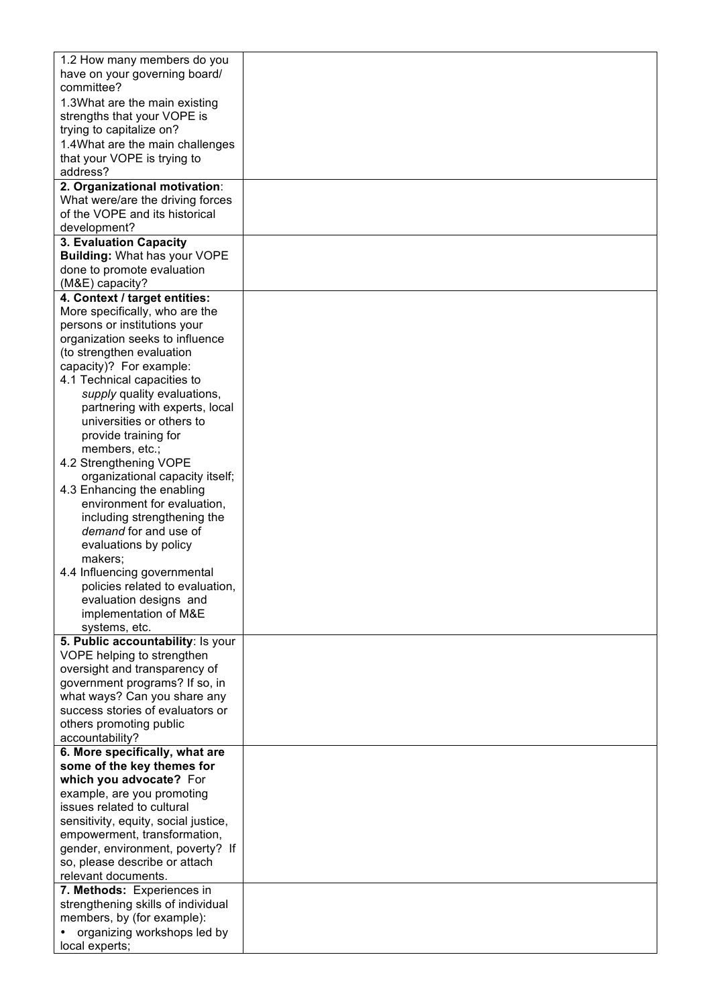| 1.2 How many members do you                                      |  |
|------------------------------------------------------------------|--|
| have on your governing board/                                    |  |
| committee?                                                       |  |
| 1.3What are the main existing                                    |  |
| strengths that your VOPE is                                      |  |
| trying to capitalize on?                                         |  |
| 1.4 What are the main challenges                                 |  |
| that your VOPE is trying to                                      |  |
| address?                                                         |  |
| 2. Organizational motivation:                                    |  |
| What were/are the driving forces                                 |  |
| of the VOPE and its historical                                   |  |
| development?                                                     |  |
| 3. Evaluation Capacity                                           |  |
| <b>Building: What has your VOPE</b>                              |  |
| done to promote evaluation                                       |  |
| (M&E) capacity?                                                  |  |
| 4. Context / target entities:                                    |  |
| More specifically, who are the                                   |  |
| persons or institutions your<br>organization seeks to influence  |  |
| (to strengthen evaluation                                        |  |
| capacity)? For example:                                          |  |
| 4.1 Technical capacities to                                      |  |
| supply quality evaluations,                                      |  |
| partnering with experts, local                                   |  |
| universities or others to                                        |  |
| provide training for                                             |  |
| members, etc.;                                                   |  |
| 4.2 Strengthening VOPE                                           |  |
| organizational capacity itself;                                  |  |
| 4.3 Enhancing the enabling                                       |  |
| environment for evaluation,                                      |  |
| including strengthening the<br>demand for and use of             |  |
| evaluations by policy                                            |  |
| makers;                                                          |  |
| 4.4 Influencing governmental                                     |  |
| policies related to evaluation,                                  |  |
| evaluation designs and                                           |  |
| implementation of M&E                                            |  |
| systems, etc.                                                    |  |
| 5. Public accountability: Is your                                |  |
| VOPE helping to strengthen                                       |  |
| oversight and transparency of                                    |  |
| government programs? If so, in                                   |  |
| what ways? Can you share any<br>success stories of evaluators or |  |
| others promoting public                                          |  |
| accountability?                                                  |  |
| 6. More specifically, what are                                   |  |
| some of the key themes for                                       |  |
| which you advocate? For                                          |  |
| example, are you promoting                                       |  |
| issues related to cultural                                       |  |
| sensitivity, equity, social justice,                             |  |
| empowerment, transformation,                                     |  |
| gender, environment, poverty? If                                 |  |
| so, please describe or attach                                    |  |
| relevant documents.                                              |  |
| 7. Methods: Experiences in                                       |  |
| strengthening skills of individual<br>members, by (for example): |  |
| organizing workshops led by                                      |  |
| local experts;                                                   |  |
|                                                                  |  |